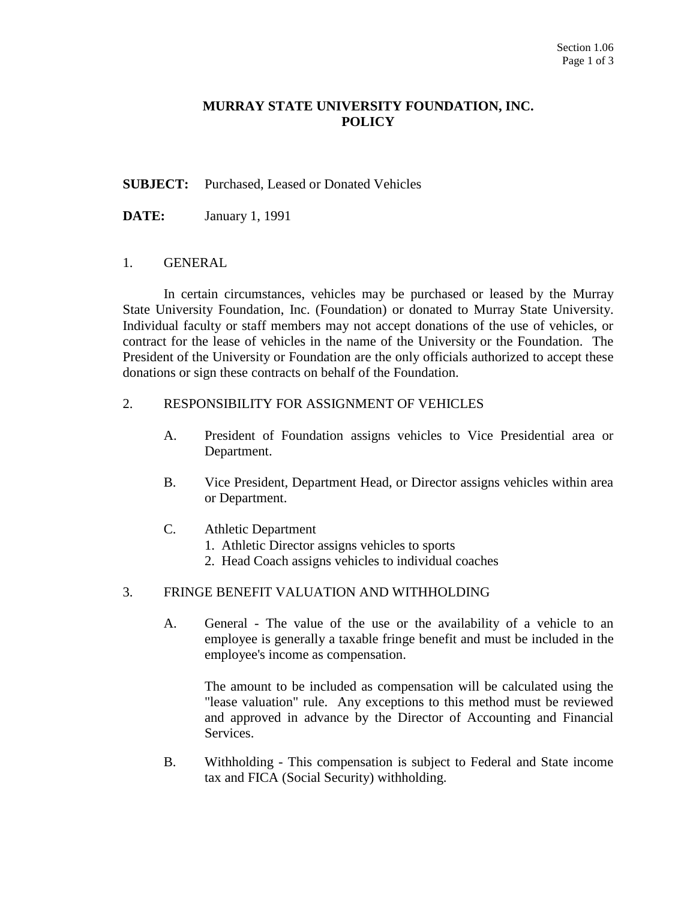## **MURRAY STATE UNIVERSITY FOUNDATION, INC. POLICY**

### **SUBJECT:** Purchased, Leased or Donated Vehicles

**DATE:** January 1, 1991

#### 1. GENERAL

In certain circumstances, vehicles may be purchased or leased by the Murray State University Foundation, Inc. (Foundation) or donated to Murray State University. Individual faculty or staff members may not accept donations of the use of vehicles, or contract for the lease of vehicles in the name of the University or the Foundation. The President of the University or Foundation are the only officials authorized to accept these donations or sign these contracts on behalf of the Foundation.

#### 2. RESPONSIBILITY FOR ASSIGNMENT OF VEHICLES

- A. President of Foundation assigns vehicles to Vice Presidential area or Department.
- B. Vice President, Department Head, or Director assigns vehicles within area or Department.
- C. Athletic Department
	- 1. Athletic Director assigns vehicles to sports
	- 2. Head Coach assigns vehicles to individual coaches

### 3. FRINGE BENEFIT VALUATION AND WITHHOLDING

A. General - The value of the use or the availability of a vehicle to an employee is generally a taxable fringe benefit and must be included in the employee's income as compensation.

 The amount to be included as compensation will be calculated using the "lease valuation" rule. Any exceptions to this method must be reviewed and approved in advance by the Director of Accounting and Financial Services.

B. Withholding - This compensation is subject to Federal and State income tax and FICA (Social Security) withholding.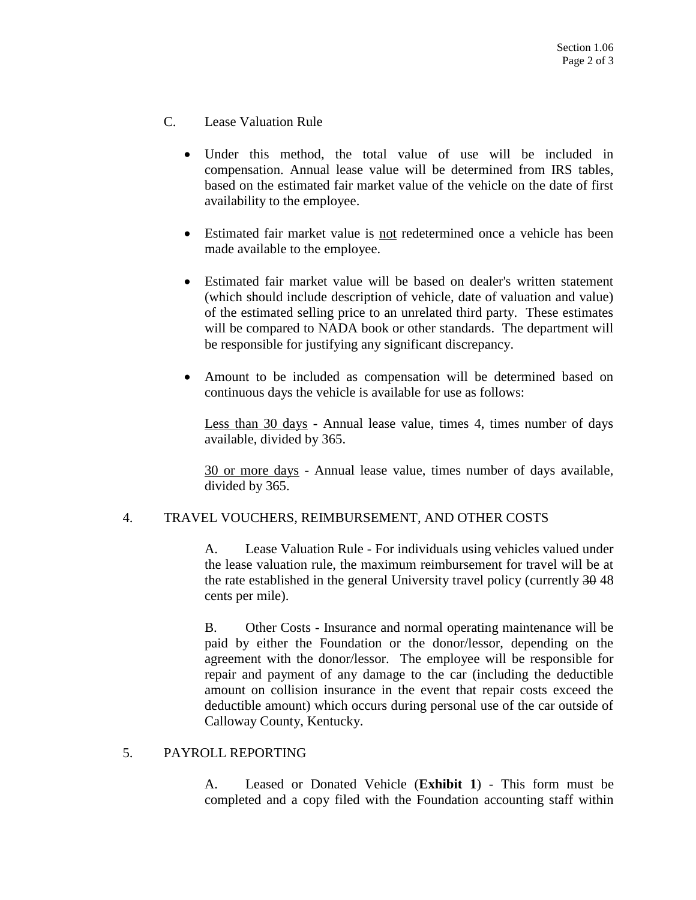- C. Lease Valuation Rule
	- Under this method, the total value of use will be included in compensation. Annual lease value will be determined from IRS tables, based on the estimated fair market value of the vehicle on the date of first availability to the employee.
	- Estimated fair market value is not redetermined once a vehicle has been made available to the employee.
	- Estimated fair market value will be based on dealer's written statement (which should include description of vehicle, date of valuation and value) of the estimated selling price to an unrelated third party. These estimates will be compared to NADA book or other standards. The department will be responsible for justifying any significant discrepancy.
	- Amount to be included as compensation will be determined based on continuous days the vehicle is available for use as follows:

Less than 30 days - Annual lease value, times 4, times number of days available, divided by 365.

30 or more days - Annual lease value, times number of days available, divided by 365.

### 4. TRAVEL VOUCHERS, REIMBURSEMENT, AND OTHER COSTS

A. Lease Valuation Rule - For individuals using vehicles valued under the lease valuation rule, the maximum reimbursement for travel will be at the rate established in the general University travel policy (currently 30 48 cents per mile).

B. Other Costs - Insurance and normal operating maintenance will be paid by either the Foundation or the donor/lessor, depending on the agreement with the donor/lessor. The employee will be responsible for repair and payment of any damage to the car (including the deductible amount on collision insurance in the event that repair costs exceed the deductible amount) which occurs during personal use of the car outside of Calloway County, Kentucky.

### 5. PAYROLL REPORTING

A. Leased or Donated Vehicle (**Exhibit 1**) - This form must be completed and a copy filed with the Foundation accounting staff within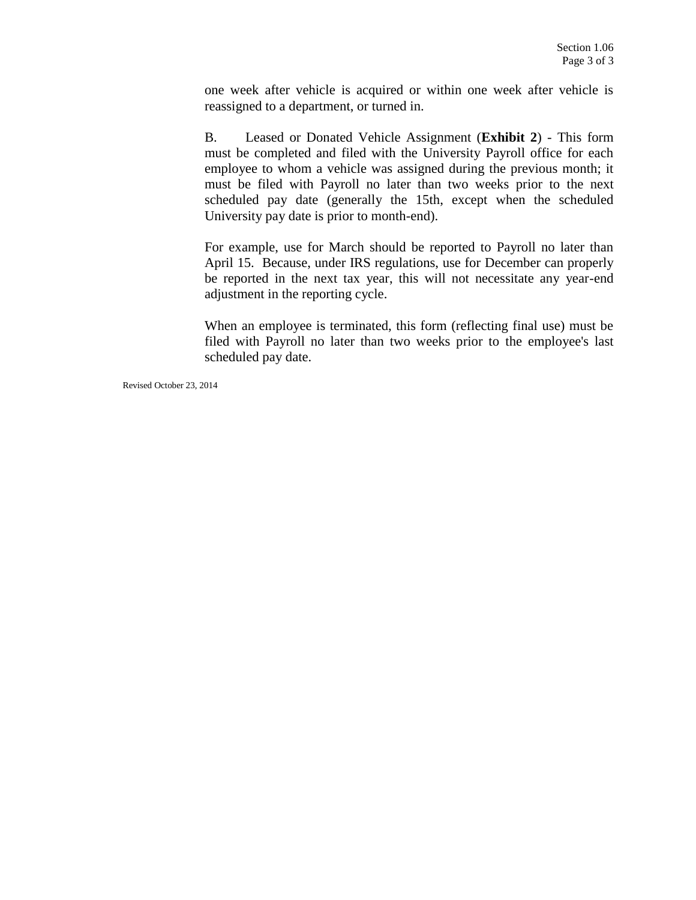one week after vehicle is acquired or within one week after vehicle is reassigned to a department, or turned in.

B. Leased or Donated Vehicle Assignment (**Exhibit 2**) - This form must be completed and filed with the University Payroll office for each employee to whom a vehicle was assigned during the previous month; it must be filed with Payroll no later than two weeks prior to the next scheduled pay date (generally the 15th, except when the scheduled University pay date is prior to month-end).

For example, use for March should be reported to Payroll no later than April 15. Because, under IRS regulations, use for December can properly be reported in the next tax year, this will not necessitate any year-end adjustment in the reporting cycle.

When an employee is terminated, this form (reflecting final use) must be filed with Payroll no later than two weeks prior to the employee's last scheduled pay date.

Revised October 23, 2014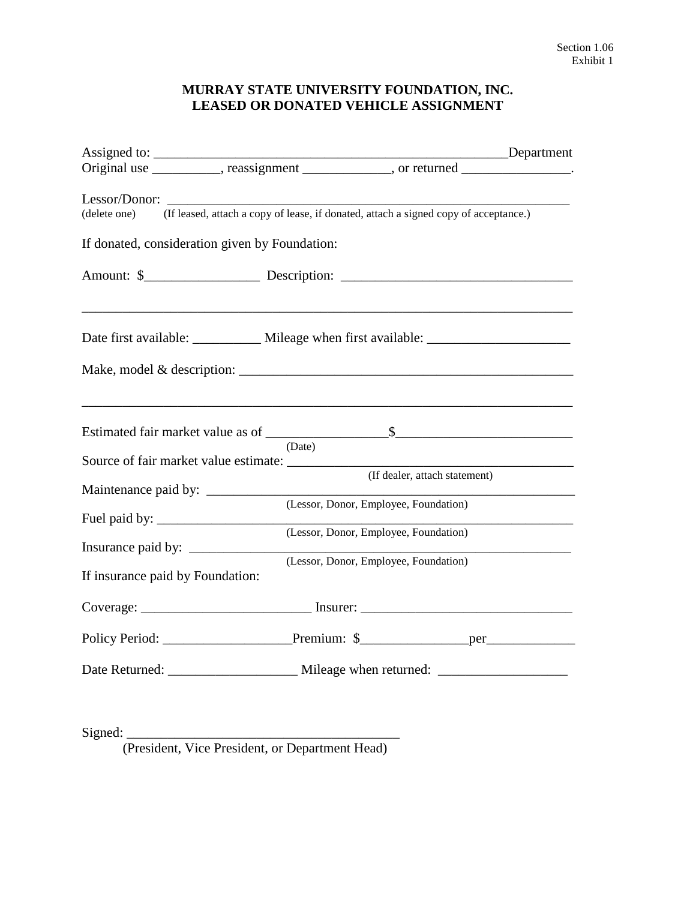# **MURRAY STATE UNIVERSITY FOUNDATION, INC. LEASED OR DONATED VEHICLE ASSIGNMENT**

| Assigned to:                                                                                                                                                                                                                                                                                                                                                                                         | Department                            |                                       |  |
|------------------------------------------------------------------------------------------------------------------------------------------------------------------------------------------------------------------------------------------------------------------------------------------------------------------------------------------------------------------------------------------------------|---------------------------------------|---------------------------------------|--|
| Original use ___________, reassignment ____________, or returned ______________.                                                                                                                                                                                                                                                                                                                     |                                       |                                       |  |
| (delete one) (If leased, attach a copy of lease, if donated, attach a signed copy of acceptance.)                                                                                                                                                                                                                                                                                                    |                                       |                                       |  |
| If donated, consideration given by Foundation:                                                                                                                                                                                                                                                                                                                                                       |                                       |                                       |  |
|                                                                                                                                                                                                                                                                                                                                                                                                      |                                       |                                       |  |
| Date first available: ____________ Mileage when first available: ________________                                                                                                                                                                                                                                                                                                                    |                                       |                                       |  |
| Make, model & description: $\frac{1}{\sqrt{1-\frac{1}{2}}}\left\{ \frac{1}{2}, \frac{1}{2}, \frac{1}{2}, \frac{1}{2}, \frac{1}{2}, \frac{1}{2}, \frac{1}{2}, \frac{1}{2}, \frac{1}{2}, \frac{1}{2}, \frac{1}{2}, \frac{1}{2}, \frac{1}{2}, \frac{1}{2}, \frac{1}{2}, \frac{1}{2}, \frac{1}{2}, \frac{1}{2}, \frac{1}{2}, \frac{1}{2}, \frac{1}{2}, \frac{1}{2}, \frac{1}{2}, \frac{1}{2}, \frac{1}{$ |                                       |                                       |  |
|                                                                                                                                                                                                                                                                                                                                                                                                      | (Date)                                |                                       |  |
|                                                                                                                                                                                                                                                                                                                                                                                                      |                                       |                                       |  |
|                                                                                                                                                                                                                                                                                                                                                                                                      |                                       | (If dealer, attach statement)         |  |
|                                                                                                                                                                                                                                                                                                                                                                                                      |                                       | (Lessor, Donor, Employee, Foundation) |  |
|                                                                                                                                                                                                                                                                                                                                                                                                      | (Lessor, Donor, Employee, Foundation) |                                       |  |
| If insurance paid by Foundation:                                                                                                                                                                                                                                                                                                                                                                     |                                       | (Lessor, Donor, Employee, Foundation) |  |
|                                                                                                                                                                                                                                                                                                                                                                                                      |                                       |                                       |  |
|                                                                                                                                                                                                                                                                                                                                                                                                      |                                       |                                       |  |
|                                                                                                                                                                                                                                                                                                                                                                                                      |                                       |                                       |  |
|                                                                                                                                                                                                                                                                                                                                                                                                      |                                       |                                       |  |

(President, Vice President, or Department Head)